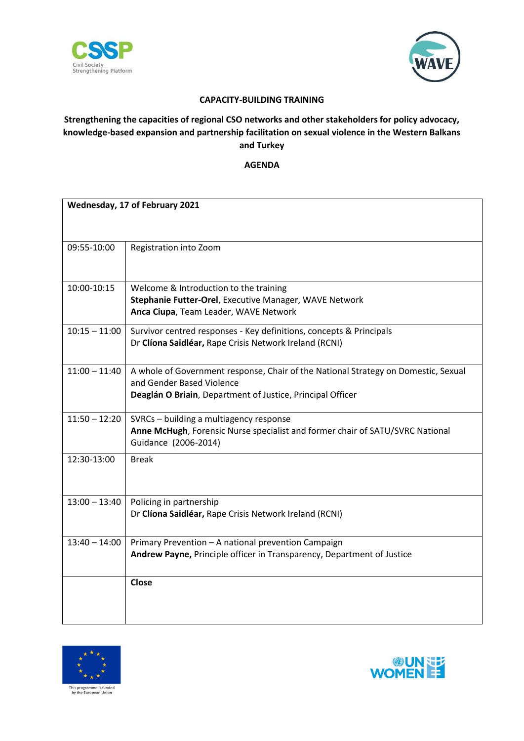



## **CAPACITY-BUILDING TRAINING**

## **Strengthening the capacities of regional CSO networks and other stakeholders for policy advocacy, knowledge-based expansion and partnership facilitation on sexual violence in the Western Balkans and Turkey**

**AGENDA**

| Wednesday, 17 of February 2021 |                                                                                                                                                                               |
|--------------------------------|-------------------------------------------------------------------------------------------------------------------------------------------------------------------------------|
| 09:55-10:00                    | Registration into Zoom                                                                                                                                                        |
| 10:00-10:15                    | Welcome & Introduction to the training<br>Stephanie Futter-Orel, Executive Manager, WAVE Network<br>Anca Ciupa, Team Leader, WAVE Network                                     |
| $10:15 - 11:00$                | Survivor centred responses - Key definitions, concepts & Principals<br>Dr Clíona Saidléar, Rape Crisis Network Ireland (RCNI)                                                 |
| $11:00 - 11:40$                | A whole of Government response, Chair of the National Strategy on Domestic, Sexual<br>and Gender Based Violence<br>Deaglán O Briain, Department of Justice, Principal Officer |
| $11:50 - 12:20$                | SVRCs - building a multiagency response<br>Anne McHugh, Forensic Nurse specialist and former chair of SATU/SVRC National<br>Guidance (2006-2014)                              |
| 12:30-13:00                    | <b>Break</b>                                                                                                                                                                  |
| $13:00 - 13:40$                | Policing in partnership<br>Dr Clíona Saidléar, Rape Crisis Network Ireland (RCNI)                                                                                             |
| $13:40 - 14:00$                | Primary Prevention - A national prevention Campaign<br>Andrew Payne, Principle officer in Transparency, Department of Justice                                                 |
|                                | <b>Close</b>                                                                                                                                                                  |